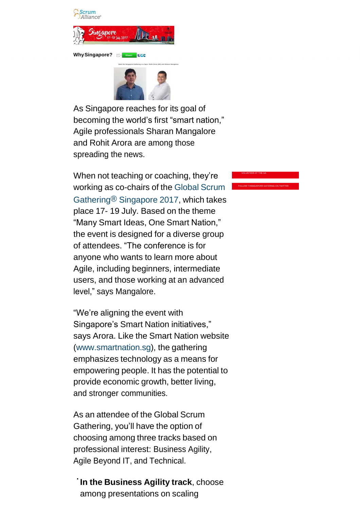

**WhySingapore? Department Times** 



As Singapore reaches for its goal of becoming the world's first "smart nation," Agile professionals Sharan Mangalore and Rohit Arora are among those spreading the news.

When not teaching or coaching, they're working as co-chairs of the [Global](https://www.scrumalliance.org/sgsin?utm_source=marketo&utm_campaign=gathering&utm_medium=marketo) Scrum [Gathering®](https://www.scrumalliance.org/sgsin?utm_source=marketo&utm_campaign=gathering&utm_medium=marketo) Singapore 2017, which takes place 17- 19 July. Based on the theme "Many Smart Ideas, One Smart Nation," the event is designed for a diverse group of attendees. "The conference is for anyone who wants to learn more about Agile, including beginners, intermediate users, and those working at an advanced level," says Mangalore.

"We're aligning the event with Singapore's Smart Nation initiatives," says Arora. Like the Smart Nation website [\(www.smartnation.sg\)](http://www.smartnation.sg/), the gathering emphasizes technology as a means for empowering people. It has the potential to provide economic growth, better living, and stronger communities.

As an attendee of the Global Scrum Gathering, you'll have the option of choosing among three tracks based on professional interest: Business Agility, Agile Beyond IT, and Technical.

**In the Business Agility track**, choose among presentations on scaling

[VOLUNTEER AT THE GA](mailto:vtran@scrumalliance.org) [FOLLOW THSINGAPORE GATERING ON TWITTER](https://twitter.com/hashtag/SGSIN?src=hash)